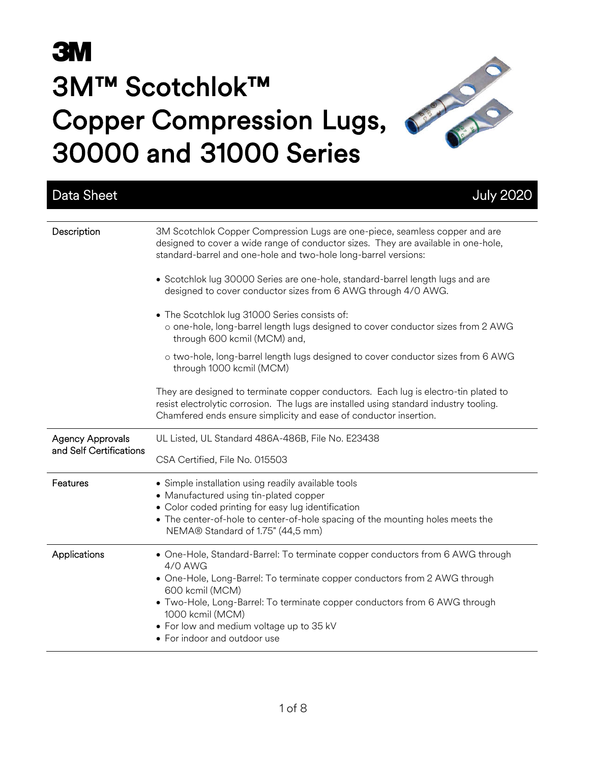## **3M** 3M™ Scotchlok™ Copper Compression Lugs, 30000 and 31000 Series

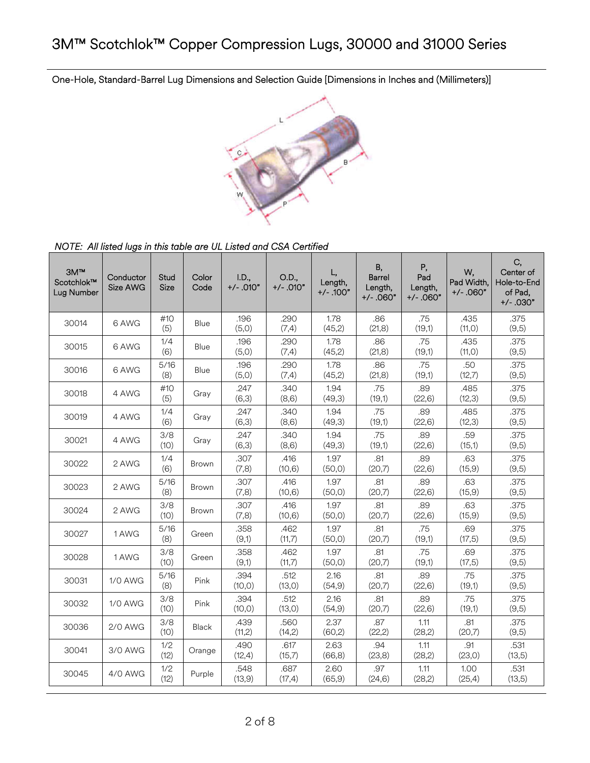One-Hole, Standard-Barrel Lug Dimensions and Selection Guide [Dimensions in Inches and (Millimeters)]



*NOTE: All listed lugs in this table are UL Listed and CSA Certified* 

| 3M™<br>Scotchlok™<br>Lug Number | Conductor<br>Size AWG | Stud<br>Size | Color<br>Code | I.D.,<br>$+/-.010"$ | O.D.,<br>$+/-$ .010" | L,<br>Length,<br>$+/-$ .100" | B,<br><b>Barrel</b><br>Length,<br>$+/- .060"$ | Ρ,<br>Pad<br>Length,<br>$+/-.060"$ | W,<br>Pad Width,<br>$+/-.060"$ | C,<br>Center of<br>Hole-to-End<br>of Pad,<br>$+/-$ .030" |
|---------------------------------|-----------------------|--------------|---------------|---------------------|----------------------|------------------------------|-----------------------------------------------|------------------------------------|--------------------------------|----------------------------------------------------------|
| 30014                           | 6 AWG                 | #10<br>(5)   | Blue          | .196<br>(5,0)       | .290<br>(7, 4)       | 1.78<br>(45,2)               | .86<br>(21, 8)                                | .75<br>(19,1)                      | .435<br>(11, 0)                | .375<br>(9,5)                                            |
| 30015                           | 6 AWG                 | 1/4<br>(6)   | Blue          | .196<br>(5,0)       | .290<br>(7,4)        | 1.78<br>(45,2)               | .86<br>(21, 8)                                | .75<br>(19,1)                      | .435<br>(11,0)                 | .375<br>(9,5)                                            |
| 30016                           | 6 AWG                 | 5/16<br>(8)  | Blue          | .196<br>(5,0)       | .290<br>(7, 4)       | 1.78<br>(45,2)               | .86<br>(21, 8)                                | .75<br>(19,1)                      | .50<br>(12,7)                  | .375<br>(9,5)                                            |
| 30018                           | 4 AWG                 | #10<br>(5)   | Gray          | .247<br>(6,3)       | .340<br>(8,6)        | 1.94<br>(49,3)               | .75<br>(19,1)                                 | .89<br>(22, 6)                     | .485<br>(12,3)                 | .375<br>(9,5)                                            |
| 30019                           | 4 AWG                 | 1/4<br>(6)   | Gray          | .247<br>(6,3)       | .340<br>(8,6)        | 1.94<br>(49,3)               | .75<br>(19,1)                                 | .89<br>(22, 6)                     | .485<br>(12,3)                 | .375<br>(9,5)                                            |
| 30021                           | 4 AWG                 | 3/8<br>(10)  | Gray          | .247<br>(6,3)       | .340<br>(8, 6)       | 1.94<br>(49,3)               | .75<br>(19,1)                                 | .89<br>(22,6)                      | .59<br>(15,1)                  | .375<br>(9,5)                                            |
| 30022                           | 2 AWG                 | 1/4<br>(6)   | Brown         | .307<br>(7,8)       | .416<br>(10, 6)      | 1.97<br>(50, 0)              | .81<br>(20,7)                                 | .89<br>(22, 6)                     | .63<br>(15, 9)                 | .375<br>(9,5)                                            |
| 30023                           | 2 AWG                 | 5/16<br>(8)  | Brown         | .307<br>(7,8)       | .416<br>(10, 6)      | 1.97<br>(50, 0)              | .81<br>(20,7)                                 | .89<br>(22, 6)                     | .63<br>(15, 9)                 | .375<br>(9,5)                                            |
| 30024                           | 2 AWG                 | 3/8<br>(10)  | <b>Brown</b>  | .307<br>(7,8)       | .416<br>(10, 6)      | 1.97<br>(50, 0)              | .81<br>(20,7)                                 | .89<br>(22, 6)                     | .63<br>(15, 9)                 | .375<br>(9,5)                                            |
| 30027                           | 1 AWG                 | 5/16<br>(8)  | Green         | .358<br>(9,1)       | .462<br>(11,7)       | 1.97<br>(50,0)               | .81<br>(20,7)                                 | .75<br>(19,1)                      | .69<br>(17, 5)                 | .375<br>(9,5)                                            |
| 30028                           | 1 AWG                 | 3/8<br>(10)  | Green         | .358<br>(9,1)       | .462<br>(11,7)       | 1.97<br>(50, 0)              | .81<br>(20,7)                                 | .75<br>(19,1)                      | .69<br>(17, 5)                 | .375<br>(9,5)                                            |
| 30031                           | 1/0 AWG               | 5/16<br>(8)  | Pink          | .394<br>(10, 0)     | .512<br>(13, 0)      | 2.16<br>(54, 9)              | .81<br>(20,7)                                 | .89<br>(22, 6)                     | .75<br>(19,1)                  | .375<br>(9,5)                                            |
| 30032                           | <b>1/0 AWG</b>        | 3/8<br>(10)  | Pink          | .394<br>(10, 0)     | .512<br>(13, 0)      | 2.16<br>(54, 9)              | .81<br>(20,7)                                 | .89<br>(22, 6)                     | .75<br>(19,1)                  | .375<br>(9,5)                                            |
| 30036                           | 2/0 AWG               | 3/8<br>(10)  | Black         | .439<br>(11,2)      | .560<br>(14,2)       | 2.37<br>(60,2)               | .87<br>(22,2)                                 | 1.11<br>(28,2)                     | .81<br>(20,7)                  | .375<br>(9,5)                                            |
| 30041                           | 3/0 AWG               | 1/2<br>(12)  | Orange        | .490<br>(12,4)      | .617<br>(15,7)       | 2.63<br>(66, 8)              | .94<br>(23,8)                                 | 1.11<br>(28,2)                     | .91<br>(23,0)                  | .531<br>(13,5)                                           |
| 30045                           | 4/0 AWG               | 1/2<br>(12)  | Purple        | .548<br>(13,9)      | .687<br>(17,4)       | 2.60<br>(65, 9)              | .97<br>(24, 6)                                | 1.11<br>(28,2)                     | 1.00<br>(25, 4)                | .531<br>(13,5)                                           |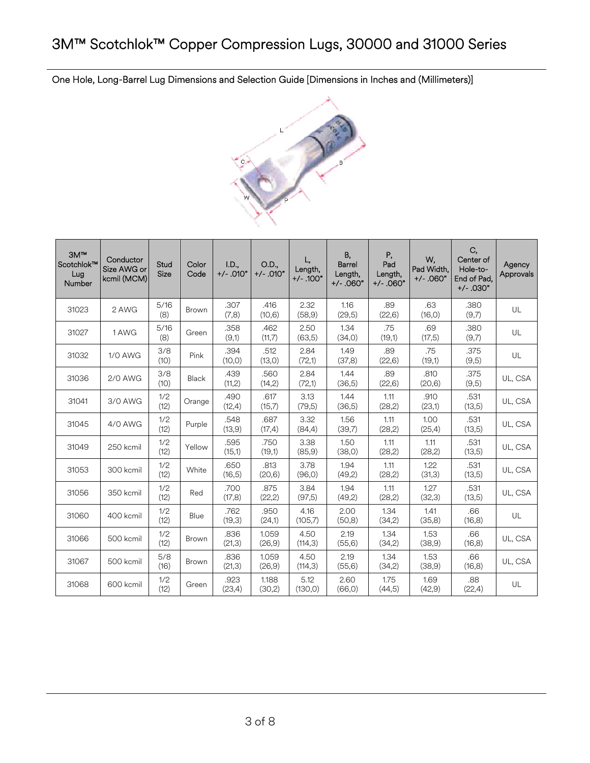One Hole, Long-Barrel Lug Dimensions and Selection Guide [Dimensions in Inches and (Millimeters)]



| 3M <sup>TM</sup><br>Scotchlok™<br>Lug<br>Number | Conductor<br>Size AWG or<br>kcmil (MCM) | Stud<br>Size | Color<br>Code | I.D.,<br>$+/-.010"$ | O.D.,<br>$+/-.010"$ | L,<br>Length,<br>$+/-.100"$ | В,<br>Barrel<br>Length,<br>$+/-$ .060" | Ρ,<br>Pad<br>Length,<br>$+/-$ .060" | W,<br>Pad Width,<br>$+/- .060"$ | C,<br>Center of<br>Hole-to-<br>End of Pad,<br>$+/-$ .030" | Agency<br>Approvals |
|-------------------------------------------------|-----------------------------------------|--------------|---------------|---------------------|---------------------|-----------------------------|----------------------------------------|-------------------------------------|---------------------------------|-----------------------------------------------------------|---------------------|
| 31023                                           | 2 AWG                                   | 5/16<br>(8)  | Brown         | .307<br>(7,8)       | .416<br>(10, 6)     | 2.32<br>(58, 9)             | 1.16<br>(29,5)                         | .89<br>(22, 6)                      | .63<br>(16, 0)                  | .380<br>(9,7)                                             | UL                  |
| 31027                                           | 1 AWG                                   | 5/16<br>(8)  | Green         | .358<br>(9,1)       | .462<br>(11,7)      | 2.50<br>(63,5)              | 1.34<br>(34,0)                         | .75<br>(19,1)                       | .69<br>(17,5)                   | .380<br>(9,7)                                             | UL                  |
| 31032                                           | 1/0 AWG                                 | 3/8<br>(10)  | Pink          | .394<br>(10, 0)     | .512<br>(13,0)      | 2.84<br>(72,1)              | 1.49<br>(37,8)                         | .89<br>(22, 6)                      | .75<br>(19,1)                   | .375<br>(9,5)                                             | UL                  |
| 31036                                           | 2/0 AWG                                 | 3/8<br>(10)  | Black         | .439<br>(11,2)      | .560<br>(14,2)      | 2.84<br>(72,1)              | 1.44<br>(36,5)                         | .89<br>(22,6)                       | .810<br>(20,6)                  | .375<br>(9,5)                                             | UL, CSA             |
| 31041                                           | 3/0 AWG                                 | 1/2<br>(12)  | Orange        | .490<br>(12, 4)     | .617<br>(15,7)      | 3.13<br>(79,5)              | 1.44<br>(36,5)                         | 1.11<br>(28,2)                      | .910<br>(23,1)                  | .531<br>(13,5)                                            | UL, CSA             |
| 31045                                           | 4/0 AWG                                 | 1/2<br>(12)  | Purple        | .548<br>(13,9)      | .687<br>(17, 4)     | 3.32<br>(84, 4)             | 1.56<br>(39,7)                         | 1.11<br>(28,2)                      | 1.00<br>(25, 4)                 | .531<br>(13,5)                                            | UL, CSA             |
| 31049                                           | 250 kcmil                               | 1/2<br>(12)  | Yellow        | .595<br>(15,1)      | .750<br>(19,1)      | 3.38<br>(85, 9)             | 1.50<br>(38, 0)                        | 1.11<br>(28,2)                      | 1.11<br>(28,2)                  | .531<br>(13,5)                                            | UL, CSA             |
| 31053                                           | 300 kcmil                               | 1/2<br>(12)  | White         | .650<br>(16,5)      | .813<br>(20,6)      | 3.78<br>(96, 0)             | 1.94<br>(49,2)                         | 1.11<br>(28,2)                      | 1.22<br>(31,3)                  | .531<br>(13,5)                                            | UL, CSA             |
| 31056                                           | 350 kcmil                               | 1/2<br>(12)  | Red           | .700<br>(17,8)      | .875<br>(22,2)      | 3.84<br>(97,5)              | 1.94<br>(49,2)                         | 1.11<br>(28,2)                      | 1.27<br>(32,3)                  | .531<br>(13,5)                                            | UL, CSA             |
| 31060                                           | 400 kcmil                               | 1/2<br>(12)  | Blue          | .762<br>(19,3)      | .950<br>(24,1)      | 4.16<br>(105,7)             | 2.00<br>(50, 8)                        | 1.34<br>(34,2)                      | 1.41<br>(35,8)                  | .66<br>(16, 8)                                            | UL                  |
| 31066                                           | 500 kcmil                               | 1/2<br>(12)  | Brown         | .836<br>(21,3)      | 1.059<br>(26, 9)    | 4.50<br>(114,3)             | 2.19<br>(55, 6)                        | 1.34<br>(34,2)                      | 1.53<br>(38,9)                  | .66<br>(16, 8)                                            | UL, CSA             |
| 31067                                           | 500 kcmil                               | 5/8<br>(16)  | Brown         | .836<br>(21,3)      | 1.059<br>(26, 9)    | 4.50<br>(114,3)             | 2.19<br>(55, 6)                        | 1.34<br>(34,2)                      | 1.53<br>(38,9)                  | .66<br>(16, 8)                                            | UL, CSA             |
| 31068                                           | 600 kcmil                               | 1/2<br>(12)  | Green         | .923<br>(23,4)      | 1.188<br>(30,2)     | 5.12<br>(130,0)             | 2.60<br>(66, 0)                        | 1.75<br>(44,5)                      | 1.69<br>(42, 9)                 | .88<br>(22,4)                                             | UL                  |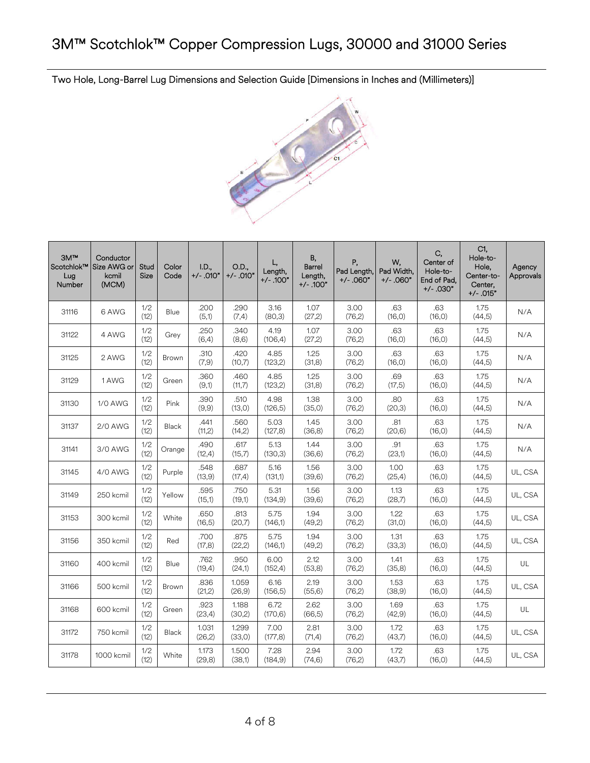Two Hole, Long-Barrel Lug Dimensions and Selection Guide [Dimensions in Inches and (Millimeters)]



| 3M <sup>m</sup><br>Scotchlok™<br>Lug<br>Number | Conductor<br>Size AWG or<br>kcmil<br>(MCM) | Stud<br>Size | Color<br>Code | I.D.,<br>$+/-$ .010" | O.D.,<br>$+/-.010"$ | L.<br>Length,<br>$+/- .100"$ | <b>B</b> ,<br><b>Barrel</b><br>Length,<br>+/- .100" | Ρ,<br>Pad Length,<br>$+/-.060"$ | W.<br>Pad Width,<br>$+/- .060"$ | C,<br>Center of<br>Hole-to-<br>End of Pad.<br>$+/-$ .030" | C1,<br>Hole-to-<br>Hole,<br>Center-to-<br>Center.<br>$+/- .015"$ | Agency<br>Approvals |
|------------------------------------------------|--------------------------------------------|--------------|---------------|----------------------|---------------------|------------------------------|-----------------------------------------------------|---------------------------------|---------------------------------|-----------------------------------------------------------|------------------------------------------------------------------|---------------------|
| 31116                                          | 6 AWG                                      | 1/2<br>(12)  | Blue          | .200<br>(5,1)        | .290<br>(7,4)       | 3.16<br>(80,3)               | 1.07<br>(27,2)                                      | 3.00<br>(76,2)                  | .63<br>(16, 0)                  | .63<br>(16, 0)                                            | 1.75<br>(44,5)                                                   | N/A                 |
| 31122                                          | 4 AWG                                      | 1/2<br>(12)  | Grey          | .250<br>(6,4)        | .340<br>(8,6)       | 4.19<br>(106, 4)             | 1.07<br>(27,2)                                      | 3.00<br>(76,2)                  | .63<br>(16, 0)                  | .63<br>(16, 0)                                            | 1.75<br>(44,5)                                                   | N/A                 |
| 31125                                          | 2 AWG                                      | 1/2<br>(12)  | <b>Brown</b>  | .310<br>(7,9)        | .420<br>(10,7)      | 4.85<br>(123, 2)             | 1.25<br>(31,8)                                      | 3.00<br>(76,2)                  | .63<br>(16, 0)                  | .63<br>(16, 0)                                            | 1.75<br>(44,5)                                                   | N/A                 |
| 31129                                          | 1 AWG                                      | 1/2<br>(12)  | Green         | .360<br>(9,1)        | .460<br>(11,7)      | 4.85<br>(123, 2)             | 1.25<br>(31,8)                                      | 3.00<br>(76,2)                  | .69<br>(17,5)                   | .63<br>(16, 0)                                            | 1.75<br>(44,5)                                                   | N/A                 |
| 31130                                          | 1/0 AWG                                    | 1/2<br>(12)  | Pink          | .390<br>(9,9)        | .510<br>(13,0)      | 4.98<br>(126, 5)             | 1.38<br>(35,0)                                      | 3.00<br>(76,2)                  | .80<br>(20,3)                   | .63<br>(16, 0)                                            | 1.75<br>(44,5)                                                   | N/A                 |
| 31137                                          | <b>2/0 AWG</b>                             | 1/2<br>(12)  | Black         | .441<br>(11,2)       | .560<br>(14,2)      | 5.03<br>(127, 8)             | 1.45<br>(36, 8)                                     | 3.00<br>(76,2)                  | .81<br>(20, 6)                  | .63<br>(16, 0)                                            | 1.75<br>(44,5)                                                   | N/A                 |
| 31141                                          | 3/0 AWG                                    | 1/2<br>(12)  | Orange        | .490<br>(12,4)       | .617<br>(15,7)      | 5.13<br>(130,3)              | 1.44<br>(36, 6)                                     | 3.00<br>(76,2)                  | .91<br>(23,1)                   | .63<br>(16, 0)                                            | 1.75<br>(44, 5)                                                  | N/A                 |
| 31145                                          | 4/0 AWG                                    | 1/2<br>(12)  | Purple        | .548<br>(13, 9)      | .687<br>(17,4)      | 5.16<br>(131,1)              | 1.56<br>(39,6)                                      | 3.00<br>(76,2)                  | 1.00<br>(25, 4)                 | .63<br>(16, 0)                                            | 1.75<br>(44, 5)                                                  | UL, CSA             |
| 31149                                          | 250 kcmil                                  | 1/2<br>(12)  | Yellow        | .595<br>(15,1)       | .750<br>(19,1)      | 5.31<br>(134, 9)             | 1.56<br>(39,6)                                      | 3.00<br>(76,2)                  | 1.13<br>(28,7)                  | .63<br>(16, 0)                                            | 1.75<br>(44,5)                                                   | UL, CSA             |
| 31153                                          | 300 kcmil                                  | 1/2<br>(12)  | White         | .650<br>(16, 5)      | .813<br>(20,7)      | 5.75<br>(146,1)              | 1.94<br>(49,2)                                      | 3.00<br>(76,2)                  | 1.22<br>(31,0)                  | .63<br>(16, 0)                                            | 1.75<br>(44,5)                                                   | UL, CSA             |
| 31156                                          | 350 kcmil                                  | 1/2<br>(12)  | Red           | .700<br>(17,8)       | .875<br>(22, 2)     | 5.75<br>(146,1)              | 1.94<br>(49,2)                                      | 3.00<br>(76,2)                  | 1.31<br>(33,3)                  | .63<br>(16, 0)                                            | 1.75<br>(44,5)                                                   | UL, CSA             |
| 31160                                          | 400 kcmil                                  | 1/2<br>(12)  | Blue          | .762<br>(19,4)       | .950<br>(24,1)      | 6.00<br>(152, 4)             | 2.12<br>(53,8)                                      | 3.00<br>(76,2)                  | 1.41<br>(35,8)                  | .63<br>(16, 0)                                            | 1.75<br>(44,5)                                                   | UL                  |
| 31166                                          | 500 kcmil                                  | 1/2<br>(12)  | Brown         | .836<br>(21,2)       | 1.059<br>(26, 9)    | 6.16<br>(156, 5)             | 2.19<br>(55, 6)                                     | 3.00<br>(76,2)                  | 1.53<br>(38,9)                  | .63<br>(16, 0)                                            | 1.75<br>(44,5)                                                   | UL, CSA             |
| 31168                                          | 600 kcmil                                  | 1/2<br>(12)  | Green         | .923<br>(23,4)       | 1.188<br>(30,2)     | 6.72<br>(170, 6)             | 2.62<br>(66, 5)                                     | 3.00<br>(76,2)                  | 1.69<br>(42, 9)                 | .63<br>(16, 0)                                            | 1.75<br>(44,5)                                                   | UL                  |
| 31172                                          | 750 kcmil                                  | 1/2<br>(12)  | Black         | 1.031<br>(26,2)      | 1.299<br>(33,0)     | 7.00<br>(177, 8)             | 2.81<br>(71,4)                                      | 3.00<br>(76,2)                  | 1.72<br>(43,7)                  | .63<br>(16, 0)                                            | 1.75<br>(44,5)                                                   | UL, CSA             |
| 31178                                          | 1000 kcmil                                 | 1/2<br>(12)  | White         | 1.173<br>(29, 8)     | 1.500<br>(38,1)     | 7.28<br>(184, 9)             | 2.94<br>(74, 6)                                     | 3.00<br>(76,2)                  | 1.72<br>(43,7)                  | .63<br>(16, 0)                                            | 1.75<br>(44,5)                                                   | UL, CSA             |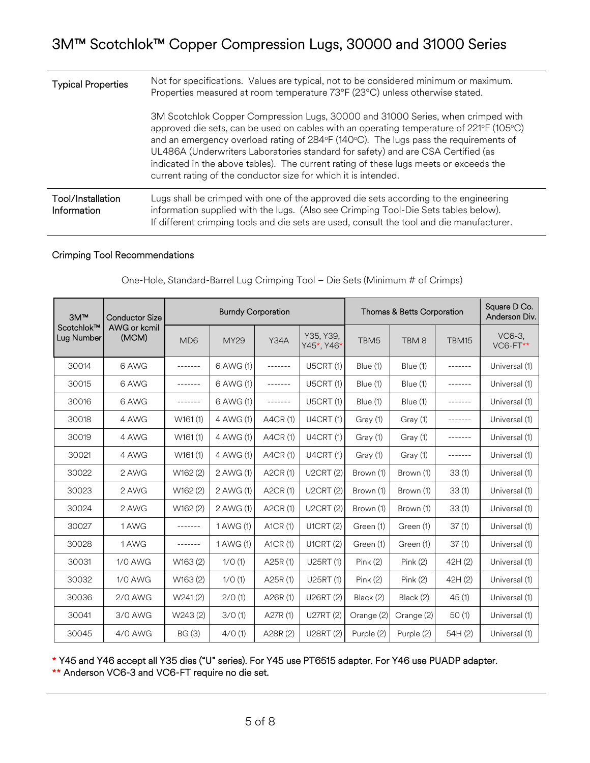| <b>Typical Properties</b>        | Not for specifications. Values are typical, not to be considered minimum or maximum.<br>Properties measured at room temperature 73°F (23°C) unless otherwise stated.                                                                                                                                                                                                                                                                                                                                              |
|----------------------------------|-------------------------------------------------------------------------------------------------------------------------------------------------------------------------------------------------------------------------------------------------------------------------------------------------------------------------------------------------------------------------------------------------------------------------------------------------------------------------------------------------------------------|
|                                  | 3M Scotchlok Copper Compression Lugs, 30000 and 31000 Series, when crimped with<br>approved die sets, can be used on cables with an operating temperature of 221°F (105°C)<br>and an emergency overload rating of 284°F (140°C). The lugs pass the requirements of<br>UL486A (Underwriters Laboratories standard for safety) and are CSA Certified (as<br>indicated in the above tables). The current rating of these lugs meets or exceeds the<br>current rating of the conductor size for which it is intended. |
| Tool/Installation<br>Information | Lugs shall be crimped with one of the approved die sets according to the engineering<br>information supplied with the lugs. (Also see Crimping Tool-Die Sets tables below).<br>If different crimping tools and die sets are used, consult the tool and die manufacturer.                                                                                                                                                                                                                                          |

## Crimping Tool Recommendations

| 3M <sup>TM</sup>         | <b>Conductor Size</b> |                             |             | <b>Burndy Corporation</b> |                         | Thomas & Betts Corporation | Square D Co.<br>Anderson Div. |                 |                    |
|--------------------------|-----------------------|-----------------------------|-------------|---------------------------|-------------------------|----------------------------|-------------------------------|-----------------|--------------------|
| Scotchlok™<br>Lug Number | AWG or kcmil<br>(MCM) | M <sub>D</sub> <sub>6</sub> | <b>MY29</b> | <b>Y34A</b>               | Y35, Y39,<br>Y45*, Y46* | TBM <sub>5</sub>           | TBM <sub>8</sub>              | TBM15           | VC6-3.<br>VC6-FT** |
| 30014                    | 6 AWG                 | -------                     | 6 AWG (1)   | -------                   | <b>U5CRT (1)</b>        | <b>Blue</b> (1)            | Blue (1)                      | $- - - - - - -$ | Universal (1)      |
| 30015                    | 6 AWG                 | -------                     | 6 AWG (1)   | -------                   | <b>U5CRT (1)</b>        | Blue (1)                   | Blue (1)                      | -------         | Universal (1)      |
| 30016                    | 6 AWG                 | -------                     | 6 AWG (1)   | $- - - - - - -$           | <b>U5CRT (1)</b>        | Blue (1)                   | Blue (1)                      | -------         | Universal (1)      |
| 30018                    | 4 AWG                 | W161(1)                     | 4 AWG (1)   | A4CR (1)                  | <b>U4CRT (1)</b>        | Gray (1)                   | Gray (1)                      | -------         | Universal (1)      |
| 30019                    | 4 AWG                 | W161(1)                     | 4 AWG (1)   | A4CR (1)                  | <b>U4CRT (1)</b>        | Gray (1)                   | Gray (1)                      |                 | Universal (1)      |
| 30021                    | 4 AWG                 | W161(1)                     | 4 AWG (1)   | A4CR (1)                  | <b>U4CRT (1)</b>        | Gray (1)                   | Gray (1)                      | -------         | Universal (1)      |
| 30022                    | 2 AWG                 | W162 (2)                    | 2 AWG (1)   | A2CR (1)                  | <b>U2CRT (2)</b>        | Brown (1)                  | Brown (1)                     | 33(1)           | Universal (1)      |
| 30023                    | 2 AWG                 | W162 (2)                    | 2 AWG (1)   | A2CR (1)                  | <b>U2CRT (2)</b>        | Brown (1)                  | Brown (1)                     | 33(1)           | Universal (1)      |
| 30024                    | 2 AWG                 | W162 (2)                    | 2 AWG (1)   | A2CR (1)                  | <b>U2CRT (2)</b>        | Brown (1)                  | Brown (1)                     | 33(1)           | Universal (1)      |
| 30027                    | 1 AWG                 | -------                     | 1 AWG (1)   | A1CR (1)                  | <b>U1CRT (2)</b>        | Green (1)                  | Green (1)                     | 37(1)           | Universal (1)      |
| 30028                    | 1 AWG                 | -------                     | 1 AWG (1)   | A1CR(1)                   | <b>U1CRT (2)</b>        | Green (1)                  | Green (1)                     | 37(1)           | Universal (1)      |
| 30031                    | <b>1/0 AWG</b>        | W163 (2)                    | 1/0(1)      | A25R(1)                   | U25RT (1)               | Pink(2)                    | Pink(2)                       | 42H (2)         | Universal (1)      |
| 30032                    | 1/0 AWG               | W163 (2)                    | 1/0(1)      | A25R(1)                   | U25RT (1)               | Pink(2)                    | Pink(2)                       | 42H (2)         | Universal (1)      |
| 30036                    | 2/0 AWG               | W241(2)                     | 2/0(1)      | A26R (1)                  | U26RT (2)               | Black (2)                  | Black (2)                     | 45(1)           | Universal (1)      |
| 30041                    | 3/0 AWG               | W243 (2)                    | 3/0(1)      | A27R (1)                  | U27RT (2)               | Orange (2)                 | Orange (2)                    | 50(1)           | Universal (1)      |
| 30045                    | 4/0 AWG               | BG(3)                       | 4/0(1)      | A28R (2)                  | U28RT (2)               | Purple (2)                 | Purple (2)                    | 54H (2)         | Universal (1)      |

One-Hole, Standard-Barrel Lug Crimping Tool – Die Sets (Minimum # of Crimps)

\* Y45 and Y46 accept all Y35 dies ("U" series). For Y45 use PT6515 adapter. For Y46 use PUADP adapter.

\*\* Anderson VC6-3 and VC6-FT require no die set.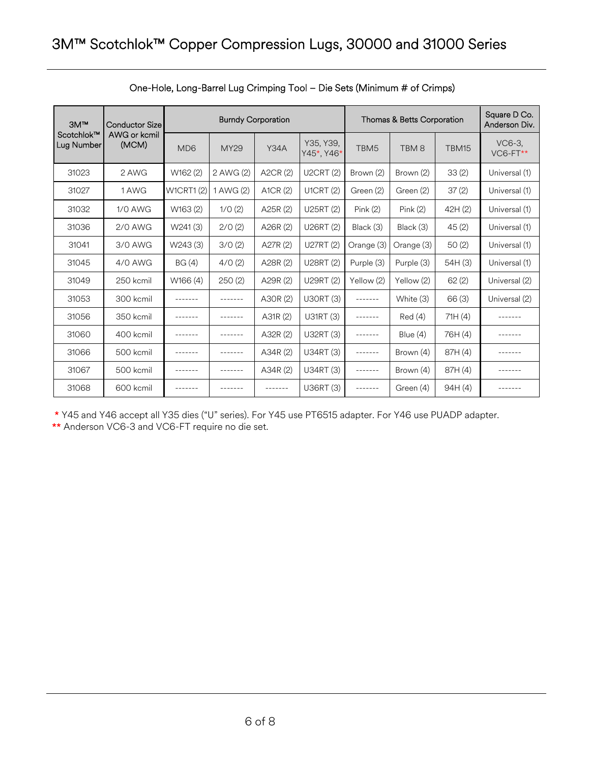| 3M <sup>TM</sup>                                  | <b>Conductor Size</b> |                  |             | <b>Burndy Corporation</b> |                  | Thomas & Betts Corporation | Square D Co.<br>Anderson Div. |                      |               |
|---------------------------------------------------|-----------------------|------------------|-------------|---------------------------|------------------|----------------------------|-------------------------------|----------------------|---------------|
| Scotchlok™<br>AWG or kcmil<br>Lug Number<br>(MCM) | MD <sub>6</sub>       | <b>MY29</b>      | <b>Y34A</b> | Y35, Y39,<br>Y45*, Y46*   | TBM <sub>5</sub> | TBM <sub>8</sub>           | TBM15                         | VC6-3.<br>$VCG-FT**$ |               |
| 31023                                             | 2 AWG                 | W162 (2)         | 2 AWG (2)   | A2CR (2)                  | <b>U2CRT (2)</b> | Brown (2)                  | Brown (2)                     | 33(2)                | Universal (1) |
| 31027                                             | 1 AWG                 | <b>W1CRT1(2)</b> | 1 AWG (2)   | A1CR (2)                  | <b>U1CRT (2)</b> | Green (2)                  | Green (2)                     | 37(2)                | Universal (1) |
| 31032                                             | <b>1/0 AWG</b>        | W163 (2)         | 1/0(2)      | A25R (2)                  | U25RT (2)        | Pink(2)                    | Pink(2)                       | 42H (2)              | Universal (1) |
| 31036                                             | 2/0 AWG               | W241(3)          | 2/0(2)      | A26R (2)                  | U26RT (2)        | Black (3)                  | Black (3)                     | 45(2)                | Universal (1) |
| 31041                                             | 3/0 AWG               | W243 (3)         | 3/0(2)      | A27R (2)                  | U27RT (2)        | Orange (3)                 | Orange (3)                    | 50(2)                | Universal (1) |
| 31045                                             | 4/0 AWG               | BG(4)            | 4/0(2)      | A28R (2)                  | U28RT (2)        | Purple (3)                 | Purple (3)                    | 54H (3)              | Universal (1) |
| 31049                                             | 250 kcmil             | W166 (4)         | 250(2)      | A29R (2)                  | U29RT (2)        | Yellow (2)                 | Yellow (2)                    | 62(2)                | Universal (2) |
| 31053                                             | 300 kcmil             | -------          | -------     | A30R (2)                  | <b>U30RT (3)</b> | .                          | White (3)                     | 66(3)                | Universal (2) |
| 31056                                             | 350 kcmil             |                  | -------     | A31R (2)                  | U31RT (3)        |                            | Red(4)                        | 71H(4)               |               |
| 31060                                             | 400 kcmil             |                  | -------     | A32R (2)                  | U32RT (3)        |                            | Blue (4)                      | 76H (4)              |               |
| 31066                                             | 500 kcmil             | -------          | -------     | A34R (2)                  | U34RT (3)        | -------                    | Brown (4)                     | 87H (4)              |               |
| 31067                                             | 500 kcmil             |                  |             | A34R (2)                  | U34RT (3)        |                            | Brown (4)                     | 87H (4)              |               |
| 31068                                             | 600 kcmil             |                  |             | -------                   | U36RT (3)        | -------                    | Green (4)                     | 94H (4)              |               |

## One-Hole, Long-Barrel Lug Crimping Tool – Die Sets (Minimum # of Crimps)

\* Y45 and Y46 accept all Y35 dies ("U" series). For Y45 use PT6515 adapter. For Y46 use PUADP adapter.

\*\* Anderson VC6-3 and VC6-FT require no die set.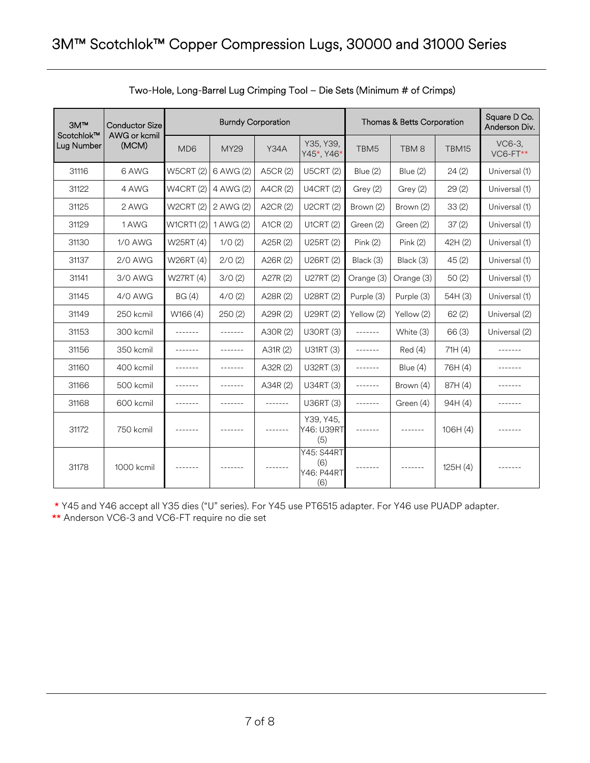| 3M <sup>m</sup>          | <b>Conductor Size</b> |                  |                 | <b>Burndy Corporation</b> |                                                      | Thomas & Betts Corporation | Square D Co.<br>Anderson Div. |          |                    |
|--------------------------|-----------------------|------------------|-----------------|---------------------------|------------------------------------------------------|----------------------------|-------------------------------|----------|--------------------|
| Scotchlok™<br>Lug Number | AWG or kcmil<br>(MCM) | MD <sub>6</sub>  | <b>MY29</b>     | <b>Y34A</b>               | Y35, Y39,<br>Y45*, Y46*                              | TBM <sub>5</sub>           | TBM8                          | TBM15    | VC6-3.<br>VC6-FT** |
| 31116                    | 6 AWG                 | <b>W5CRT (2)</b> | 6 AWG (2)       | A5CR (2)                  | <b>U5CRT (2)</b>                                     | Blue (2)                   | Blue (2)                      | 24(2)    | Universal (1)      |
| 31122                    | 4 AWG                 | <b>W4CRT (2)</b> | 4 AWG (2)       | A4CR (2)                  | <b>U4CRT (2)</b>                                     | Grey (2)                   | Grey (2)                      | 29(2)    | Universal (1)      |
| 31125                    | 2 AWG                 | <b>W2CRT (2)</b> | 2 AWG (2)       | A2CR (2)                  | <b>U2CRT (2)</b>                                     | Brown (2)                  | Brown (2)                     | 33(2)    | Universal (1)      |
| 31129                    | 1 AWG                 | <b>W1CRT1(2)</b> | 1 AWG (2)       | A1CR (2)                  | <b>U1CRT (2)</b>                                     | Green (2)                  | Green (2)                     | 37(2)    | Universal (1)      |
| 31130                    | <b>1/0 AWG</b>        | W25RT (4)        | 1/0(2)          | A25R (2)                  | U25RT (2)                                            | Pink(2)                    | Pink(2)                       | 42H (2)  | Universal (1)      |
| 31137                    | <b>2/0 AWG</b>        | W26RT (4)        | 2/0(2)          | A26R (2)                  | U26RT (2)                                            | Black (3)                  | Black (3)                     | 45(2)    | Universal (1)      |
| 31141                    | 3/0 AWG               | W27RT (4)        | 3/0(2)          | A27R (2)                  | U27RT (2)                                            | Orange (3)                 | Orange (3)                    | 50(2)    | Universal (1)      |
| 31145                    | 4/0 AWG               | BG(4)            | 4/0(2)          | A28R (2)                  | U28RT (2)                                            | Purple (3)                 | Purple (3)                    | 54H (3)  | Universal (1)      |
| 31149                    | 250 kcmil             | W166 (4)         | 250(2)          | A29R (2)                  | U29RT (2)                                            | Yellow (2)                 | Yellow (2)                    | 62(2)    | Universal (2)      |
| 31153                    | 300 kcmil             | -------          | $- - - - - - -$ | A30R (2)                  | U30RT (3)                                            | -------                    | White (3)                     | 66(3)    | Universal (2)      |
| 31156                    | 350 kcmil             | -------          | -------         | A31R (2)                  | U31RT (3)                                            | -------                    | Red(4)                        | 71H(4)   |                    |
| 31160                    | 400 kcmil             | -------          | -------         | A32R (2)                  | U32RT (3)                                            | -------                    | Blue $(4)$                    | 76H (4)  |                    |
| 31166                    | 500 kcmil             | -------          | -------         | A34R (2)                  | U34RT (3)                                            | -------                    | Brown (4)                     | 87H (4)  |                    |
| 31168                    | 600 kcmil             |                  | -------         | -------                   | U36RT (3)                                            | -------                    | Green (4)                     | 94H(4)   |                    |
| 31172                    | 750 kcmil             | -------          | -------         | -------                   | Y39, Y45,<br>Y46: U39RT<br>(5)                       | -------                    | -------                       | 106H(4)  | -------            |
| 31178                    | 1000 kcmil            | -------          |                 |                           | <b>Y45: S44RT</b><br>(6)<br><b>Y46: P44RT</b><br>(6) |                            |                               | 125H (4) |                    |

\* Y45 and Y46 accept all Y35 dies ("U" series). For Y45 use PT6515 adapter. For Y46 use PUADP adapter.

\*\* Anderson VC6-3 and VC6-FT require no die set